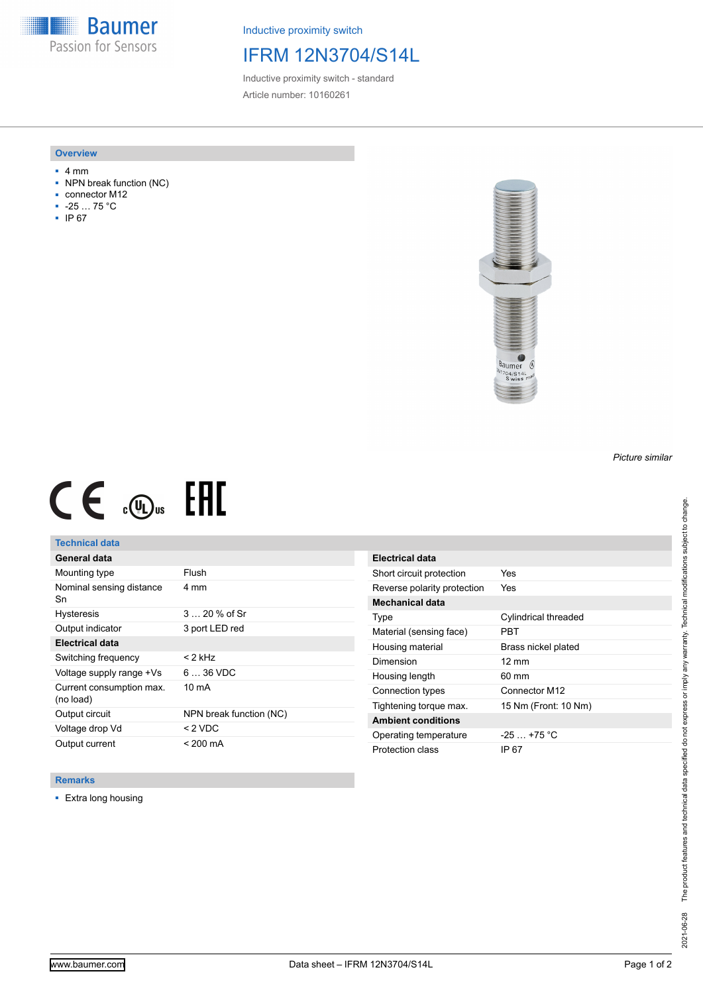**Baumer** Passion for Sensors

Inductive proximity switch

## IFRM 12N3704/S14L

Inductive proximity switch - standard Article number: 10160261

#### **Overview**

- 4 mm
- NPN break function (NC)
- connector M12
- -25 … 75 °C
- IP 67



# $CE \oplus E$

## **Technical data**

| General data                          |                         |
|---------------------------------------|-------------------------|
| Mounting type                         | Flush                   |
| Nominal sensing distance<br>Sn        | 4 mm                    |
| <b>Hysteresis</b>                     | $320%$ of Sr            |
| Output indicator                      | 3 port LED red          |
| <b>Electrical data</b>                |                         |
| Switching frequency                   | < 2 kHz                 |
| Voltage supply range +Vs              | $636$ VDC               |
| Current consumption max.<br>(no load) | $10 \text{ mA}$         |
| Output circuit                        | NPN break function (NC) |
| Voltage drop Vd                       | $< 2$ VDC               |
| Output current                        | $< 200 \text{ mA}$      |

| <b>Electrical data</b>      |                      |
|-----------------------------|----------------------|
| Short circuit protection    | Yes                  |
| Reverse polarity protection | Yes                  |
| Mechanical data             |                      |
| Type                        | Cylindrical threaded |
| Material (sensing face)     | PRT                  |
| Housing material            | Brass nickel plated  |
| Dimension                   | $12 \text{ mm}$      |
| Housing length              | 60 mm                |
| Connection types            | Connector M12        |
| Tightening torque max.      | 15 Nm (Front: 10 Nm) |
| <b>Ambient conditions</b>   |                      |
| Operating temperature       | $-25$ $+75$ °C       |
| Protection class            | IP 67                |

### **Remarks**

■ Extra long housing

*Picture similar*